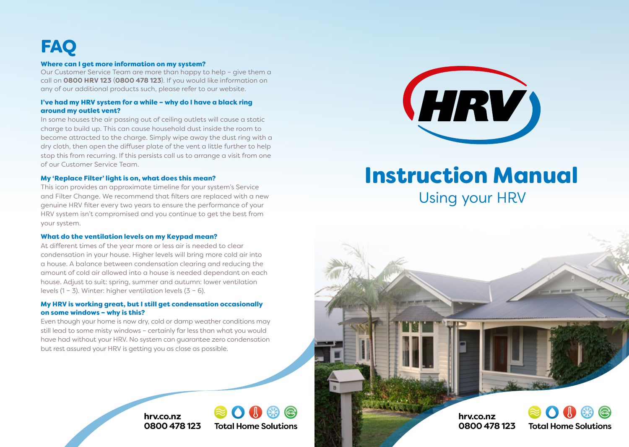# **FAQ**

### Where can I get more information on my system?

Our Customer Service Team are more than happy to help – give them a call on **0800 HRV 123** (**0800 478 123**). If you would like information on any of our additional products such, please refer to our website.

### I've had my HRV system for a while – why do I have a black ring around my outlet vent?

In some houses the air passing out of ceiling outlets will cause a static charge to build up. This can cause household dust inside the room to become attracted to the charge. Simply wipe away the dust ring with a dry cloth, then open the diffuser plate of the vent a little further to help stop this from recurring. If this persists call us to arrange a visit from one of our Customer Service Team.

### My 'Replace Filter' light is on, what does this mean?

This icon provides an approximate timeline for your system's Service and Filter Change. We recommend that filters are replaced with a new genuine HRV filter every two years to ensure the performance of your HRV system isn't compromised and you continue to get the best from your system.

### What do the ventilation levels on my Keypad mean?

At different times of the year more or less air is needed to clear condensation in your house. Higher levels will bring more cold air into a house. A balance between condensation clearing and reducing the amount of cold air allowed into a house is needed dependant on each house. Adjust to suit: spring, summer and autumn: lower ventilation levels (1 – 3). Winter: higher ventilation levels (3 – 6).

### My HRV is working great, but I still get condensation occasionally on some windows – why is this?

Even though your home is now dry, cold or damp weather conditions may still lead to some misty windows – certainly far less than what you would have had without your HRV. No system can guarantee zero condensation but rest assured your HRV is getting you as close as possible.

> **0800 478 123 hrv.co.nz**





## Instruction Manual

Using your HRV